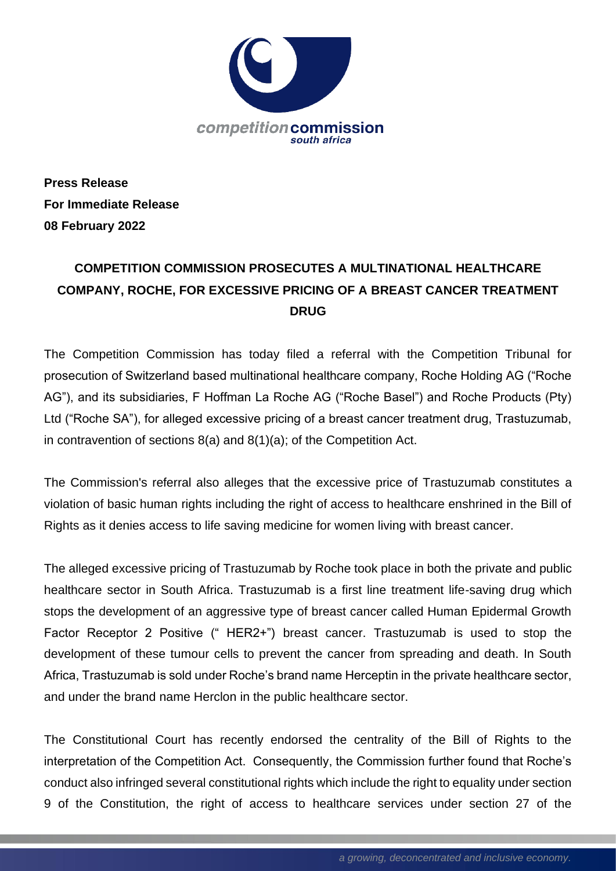

**Press Release For Immediate Release 08 February 2022**

## **COMPETITION COMMISSION PROSECUTES A MULTINATIONAL HEALTHCARE COMPANY, ROCHE, FOR EXCESSIVE PRICING OF A BREAST CANCER TREATMENT DRUG**

The Competition Commission has today filed a referral with the Competition Tribunal for prosecution of Switzerland based multinational healthcare company, Roche Holding AG ("Roche AG"), and its subsidiaries, F Hoffman La Roche AG ("Roche Basel") and Roche Products (Pty) Ltd ("Roche SA"), for alleged excessive pricing of a breast cancer treatment drug, Trastuzumab, in contravention of sections 8(a) and 8(1)(a); of the Competition Act.

The Commission's referral also alleges that the excessive price of Trastuzumab constitutes a violation of basic human rights including the right of access to healthcare enshrined in the Bill of Rights as it denies access to life saving medicine for women living with breast cancer.

The alleged excessive pricing of Trastuzumab by Roche took place in both the private and public healthcare sector in South Africa. Trastuzumab is a first line treatment life-saving drug which stops the development of an aggressive type of breast cancer called Human Epidermal Growth Factor Receptor 2 Positive (" HER2+") breast cancer. Trastuzumab is used to stop the development of these tumour cells to prevent the cancer from spreading and death. In South Africa, Trastuzumab is sold under Roche's brand name Herceptin in the private healthcare sector, and under the brand name Herclon in the public healthcare sector.

The Constitutional Court has recently endorsed the centrality of the Bill of Rights to the interpretation of the Competition Act. Consequently, the Commission further found that Roche's conduct also infringed several constitutional rights which include the right to equality under section 9 of the Constitution, the right of access to healthcare services under section 27 of the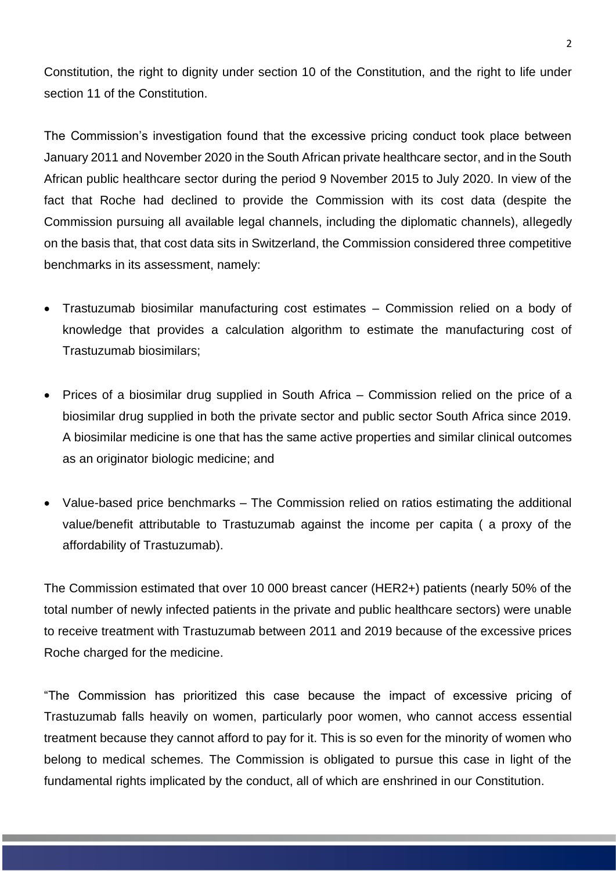Constitution, the right to dignity under section 10 of the Constitution, and the right to life under section 11 of the Constitution.

The Commission's investigation found that the excessive pricing conduct took place between January 2011 and November 2020 in the South African private healthcare sector, and in the South African public healthcare sector during the period 9 November 2015 to July 2020. In view of the fact that Roche had declined to provide the Commission with its cost data (despite the Commission pursuing all available legal channels, including the diplomatic channels), allegedly on the basis that, that cost data sits in Switzerland, the Commission considered three competitive benchmarks in its assessment, namely:

- Trastuzumab biosimilar manufacturing cost estimates Commission relied on a body of knowledge that provides a calculation algorithm to estimate the manufacturing cost of Trastuzumab biosimilars;
- Prices of a biosimilar drug supplied in South Africa Commission relied on the price of a biosimilar drug supplied in both the private sector and public sector South Africa since 2019. A biosimilar medicine is one that has the same active properties and similar clinical outcomes as an originator biologic medicine; and
- Value-based price benchmarks The Commission relied on ratios estimating the additional value/benefit attributable to Trastuzumab against the income per capita ( a proxy of the affordability of Trastuzumab).

The Commission estimated that over 10 000 breast cancer (HER2+) patients (nearly 50% of the total number of newly infected patients in the private and public healthcare sectors) were unable to receive treatment with Trastuzumab between 2011 and 2019 because of the excessive prices Roche charged for the medicine.

"The Commission has prioritized this case because the impact of excessive pricing of Trastuzumab falls heavily on women, particularly poor women, who cannot access essential treatment because they cannot afford to pay for it. This is so even for the minority of women who belong to medical schemes. The Commission is obligated to pursue this case in light of the fundamental rights implicated by the conduct, all of which are enshrined in our Constitution.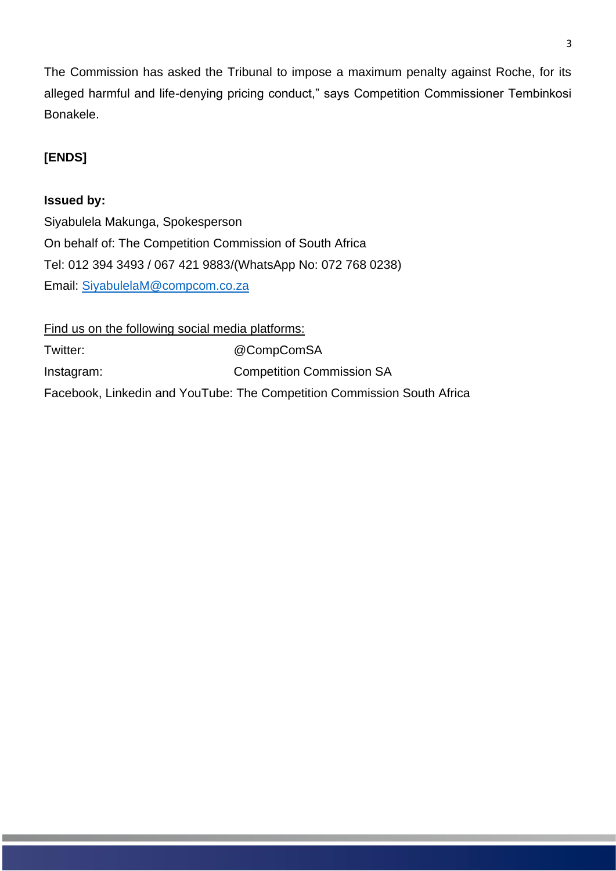The Commission has asked the Tribunal to impose a maximum penalty against Roche, for its alleged harmful and life-denying pricing conduct," says Competition Commissioner Tembinkosi Bonakele.

## **[ENDS]**

## **Issued by:**

Siyabulela Makunga, Spokesperson On behalf of: The Competition Commission of South Africa Tel: 012 394 3493 / 067 421 9883/(WhatsApp No: 072 768 0238) Email: [SiyabulelaM@compcom.co.za](mailto:SiyabulelaM@compcom.co.za)

Find us on the following social media platforms: Twitter: @CompComSA Instagram: Competition Commission SA Facebook, Linkedin and YouTube: The Competition Commission South Africa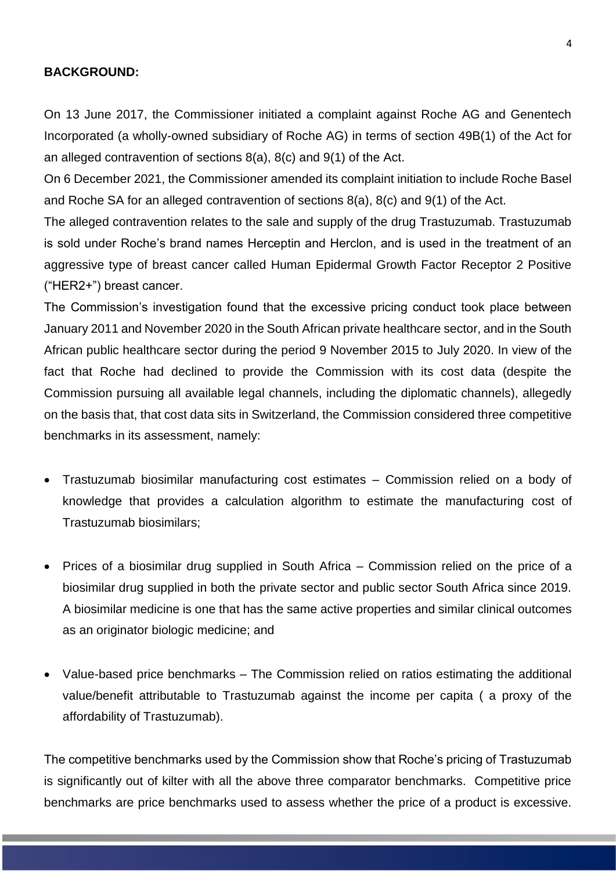## **BACKGROUND:**

On 13 June 2017, the Commissioner initiated a complaint against Roche AG and Genentech Incorporated (a wholly-owned subsidiary of Roche AG) in terms of section 49B(1) of the Act for an alleged contravention of sections 8(a), 8(c) and 9(1) of the Act.

On 6 December 2021, the Commissioner amended its complaint initiation to include Roche Basel and Roche SA for an alleged contravention of sections 8(a), 8(c) and 9(1) of the Act.

The alleged contravention relates to the sale and supply of the drug Trastuzumab. Trastuzumab is sold under Roche's brand names Herceptin and Herclon, and is used in the treatment of an aggressive type of breast cancer called Human Epidermal Growth Factor Receptor 2 Positive ("HER2+") breast cancer.

The Commission's investigation found that the excessive pricing conduct took place between January 2011 and November 2020 in the South African private healthcare sector, and in the South African public healthcare sector during the period 9 November 2015 to July 2020. In view of the fact that Roche had declined to provide the Commission with its cost data (despite the Commission pursuing all available legal channels, including the diplomatic channels), allegedly on the basis that, that cost data sits in Switzerland, the Commission considered three competitive benchmarks in its assessment, namely:

- Trastuzumab biosimilar manufacturing cost estimates Commission relied on a body of knowledge that provides a calculation algorithm to estimate the manufacturing cost of Trastuzumab biosimilars;
- Prices of a biosimilar drug supplied in South Africa Commission relied on the price of a biosimilar drug supplied in both the private sector and public sector South Africa since 2019. A biosimilar medicine is one that has the same active properties and similar clinical outcomes as an originator biologic medicine; and
- Value-based price benchmarks The Commission relied on ratios estimating the additional value/benefit attributable to Trastuzumab against the income per capita ( a proxy of the affordability of Trastuzumab).

The competitive benchmarks used by the Commission show that Roche's pricing of Trastuzumab is significantly out of kilter with all the above three comparator benchmarks. Competitive price benchmarks are price benchmarks used to assess whether the price of a product is excessive.